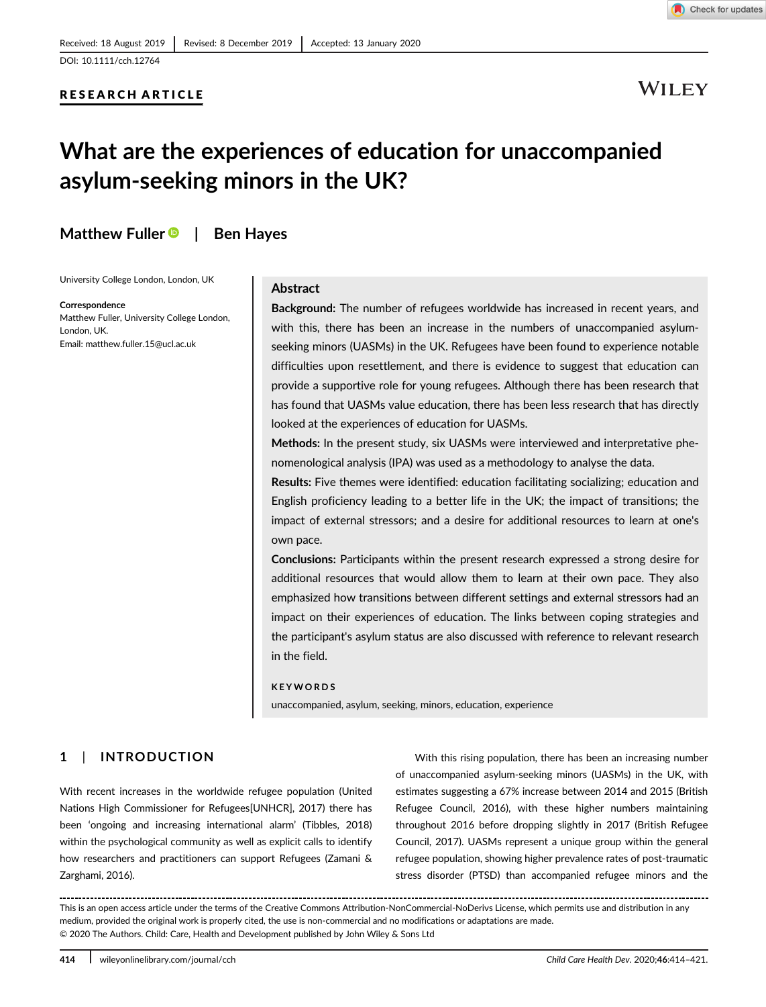RESEARCH ARTICLE

## **WILEY**

# What are the experiences of education for unaccompanied asylum-seeking minors in the UK?

### Matthew Fuller **D** | Ben Hayes

University College London, London, UK

Correspondence Matthew Fuller, University College London, London, UK. Email: [matthew.fuller.15@ucl.ac.uk](mailto:matthew.fuller.15@ucl.ac.uk)

#### Abstract

Background: The number of refugees worldwide has increased in recent years, and with this, there has been an increase in the numbers of unaccompanied asylumseeking minors (UASMs) in the UK. Refugees have been found to experience notable difficulties upon resettlement, and there is evidence to suggest that education can provide a supportive role for young refugees. Although there has been research that has found that UASMs value education, there has been less research that has directly looked at the experiences of education for UASMs.

Methods: In the present study, six UASMs were interviewed and interpretative phenomenological analysis (IPA) was used as a methodology to analyse the data.

Results: Five themes were identified: education facilitating socializing; education and English proficiency leading to a better life in the UK; the impact of transitions; the impact of external stressors; and a desire for additional resources to learn at one's own pace.

Conclusions: Participants within the present research expressed a strong desire for additional resources that would allow them to learn at their own pace. They also emphasized how transitions between different settings and external stressors had an impact on their experiences of education. The links between coping strategies and the participant's asylum status are also discussed with reference to relevant research in the field.

#### KEYWORDS

unaccompanied, asylum, seeking, minors, education, experience

#### 1 | INTRODUCTION

With recent increases in the worldwide refugee population (United Nations High Commissioner for Refugees[UNHCR], 2017) there has been 'ongoing and increasing international alarm' (Tibbles, 2018) within the psychological community as well as explicit calls to identify how researchers and practitioners can support Refugees (Zamani & Zarghami, 2016).

With this rising population, there has been an increasing number of unaccompanied asylum-seeking minors (UASMs) in the UK, with estimates suggesting a 67% increase between 2014 and 2015 (British Refugee Council, 2016), with these higher numbers maintaining throughout 2016 before dropping slightly in 2017 (British Refugee Council, 2017). UASMs represent a unique group within the general refugee population, showing higher prevalence rates of post-traumatic stress disorder (PTSD) than accompanied refugee minors and the

This is an open access article under the terms of the Creative Commons Attribution-NonCommercial-NoDerivs License, which permits use and distribution in any medium, provided the original work is properly cited, the use is non-commercial and no modifications or adaptations are made. © 2020 The Authors. Child: Care, Health and Development published by John Wiley & Sons Ltd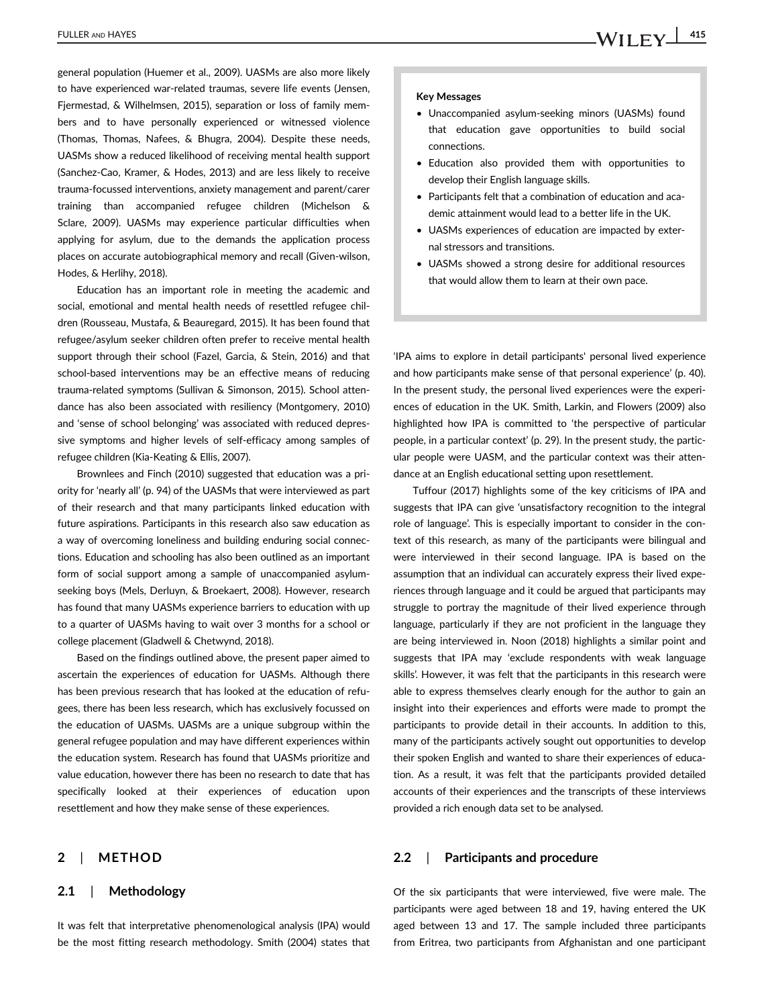general population (Huemer et al., 2009). UASMs are also more likely to have experienced war-related traumas, severe life events (Jensen, Fiermestad, & Wilhelmsen, 2015), separation or loss of family members and to have personally experienced or witnessed violence (Thomas, Thomas, Nafees, & Bhugra, 2004). Despite these needs, UASMs show a reduced likelihood of receiving mental health support (Sanchez-Cao, Kramer, & Hodes, 2013) and are less likely to receive trauma-focussed interventions, anxiety management and parent/carer training than accompanied refugee children (Michelson & Sclare, 2009). UASMs may experience particular difficulties when applying for asylum, due to the demands the application process places on accurate autobiographical memory and recall (Given-wilson, Hodes, & Herlihy, 2018).

Education has an important role in meeting the academic and social, emotional and mental health needs of resettled refugee children (Rousseau, Mustafa, & Beauregard, 2015). It has been found that refugee/asylum seeker children often prefer to receive mental health support through their school (Fazel, Garcia, & Stein, 2016) and that school-based interventions may be an effective means of reducing trauma-related symptoms (Sullivan & Simonson, 2015). School attendance has also been associated with resiliency (Montgomery, 2010) and 'sense of school belonging' was associated with reduced depressive symptoms and higher levels of self-efficacy among samples of refugee children (Kia-Keating & Ellis, 2007).

Brownlees and Finch (2010) suggested that education was a priority for 'nearly all' (p. 94) of the UASMs that were interviewed as part of their research and that many participants linked education with future aspirations. Participants in this research also saw education as a way of overcoming loneliness and building enduring social connections. Education and schooling has also been outlined as an important form of social support among a sample of unaccompanied asylumseeking boys (Mels, Derluyn, & Broekaert, 2008). However, research has found that many UASMs experience barriers to education with up to a quarter of UASMs having to wait over 3 months for a school or college placement (Gladwell & Chetwynd, 2018).

Based on the findings outlined above, the present paper aimed to ascertain the experiences of education for UASMs. Although there has been previous research that has looked at the education of refugees, there has been less research, which has exclusively focussed on the education of UASMs. UASMs are a unique subgroup within the general refugee population and may have different experiences within the education system. Research has found that UASMs prioritize and value education, however there has been no research to date that has specifically looked at their experiences of education upon resettlement and how they make sense of these experiences.

#### 2 | METHOD

#### 2.1 | Methodology

It was felt that interpretative phenomenological analysis (IPA) would be the most fitting research methodology. Smith (2004) states that

#### Key Messages

- Unaccompanied asylum-seeking minors (UASMs) found that education gave opportunities to build social connections.
- Education also provided them with opportunities to develop their English language skills.
- Participants felt that a combination of education and academic attainment would lead to a better life in the UK.
- UASMs experiences of education are impacted by external stressors and transitions.
- UASMs showed a strong desire for additional resources that would allow them to learn at their own pace.

'IPA aims to explore in detail participants' personal lived experience and how participants make sense of that personal experience' (p. 40). In the present study, the personal lived experiences were the experiences of education in the UK. Smith, Larkin, and Flowers (2009) also highlighted how IPA is committed to 'the perspective of particular people, in a particular context' (p. 29). In the present study, the particular people were UASM, and the particular context was their attendance at an English educational setting upon resettlement.

Tuffour (2017) highlights some of the key criticisms of IPA and suggests that IPA can give 'unsatisfactory recognition to the integral role of language'. This is especially important to consider in the context of this research, as many of the participants were bilingual and were interviewed in their second language. IPA is based on the assumption that an individual can accurately express their lived experiences through language and it could be argued that participants may struggle to portray the magnitude of their lived experience through language, particularly if they are not proficient in the language they are being interviewed in. Noon (2018) highlights a similar point and suggests that IPA may 'exclude respondents with weak language skills'. However, it was felt that the participants in this research were able to express themselves clearly enough for the author to gain an insight into their experiences and efforts were made to prompt the participants to provide detail in their accounts. In addition to this, many of the participants actively sought out opportunities to develop their spoken English and wanted to share their experiences of education. As a result, it was felt that the participants provided detailed accounts of their experiences and the transcripts of these interviews provided a rich enough data set to be analysed.

#### 2.2 | Participants and procedure

Of the six participants that were interviewed, five were male. The participants were aged between 18 and 19, having entered the UK aged between 13 and 17. The sample included three participants from Eritrea, two participants from Afghanistan and one participant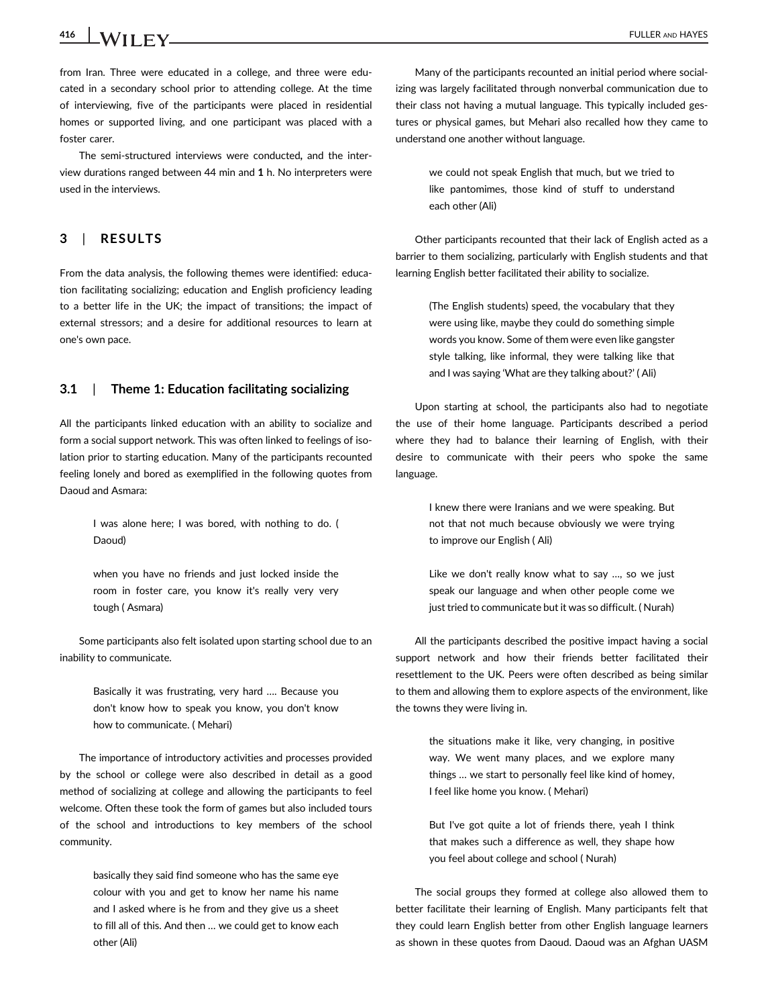from Iran. Three were educated in a college, and three were educated in a secondary school prior to attending college. At the time of interviewing, five of the participants were placed in residential homes or supported living, and one participant was placed with a foster carer.

The semi-structured interviews were conducted, and the interview durations ranged between 44 min and 1 h. No interpreters were used in the interviews.

#### 3 | RESULTS

From the data analysis, the following themes were identified: education facilitating socializing; education and English proficiency leading to a better life in the UK; the impact of transitions; the impact of external stressors; and a desire for additional resources to learn at one's own pace.

#### 3.1 | Theme 1: Education facilitating socializing

All the participants linked education with an ability to socialize and form a social support network. This was often linked to feelings of isolation prior to starting education. Many of the participants recounted feeling lonely and bored as exemplified in the following quotes from Daoud and Asmara:

> I was alone here; I was bored, with nothing to do. ( Daoud)

> when you have no friends and just locked inside the room in foster care, you know it's really very very tough ( Asmara)

Some participants also felt isolated upon starting school due to an inability to communicate.

> Basically it was frustrating, very hard …. Because you don't know how to speak you know, you don't know how to communicate. ( Mehari)

The importance of introductory activities and processes provided by the school or college were also described in detail as a good method of socializing at college and allowing the participants to feel welcome. Often these took the form of games but also included tours of the school and introductions to key members of the school community.

> basically they said find someone who has the same eye colour with you and get to know her name his name and I asked where is he from and they give us a sheet to fill all of this. And then … we could get to know each other (Ali)

Many of the participants recounted an initial period where socializing was largely facilitated through nonverbal communication due to their class not having a mutual language. This typically included gestures or physical games, but Mehari also recalled how they came to understand one another without language.

> we could not speak English that much, but we tried to like pantomimes, those kind of stuff to understand each other (Ali)

Other participants recounted that their lack of English acted as a barrier to them socializing, particularly with English students and that learning English better facilitated their ability to socialize.

> (The English students) speed, the vocabulary that they were using like, maybe they could do something simple words you know. Some of them were even like gangster style talking, like informal, they were talking like that and I was saying 'What are they talking about?' ( Ali)

Upon starting at school, the participants also had to negotiate the use of their home language. Participants described a period where they had to balance their learning of English, with their desire to communicate with their peers who spoke the same language.

> I knew there were Iranians and we were speaking. But not that not much because obviously we were trying to improve our English ( Ali)

> Like we don't really know what to say …, so we just speak our language and when other people come we just tried to communicate but it was so difficult. ( Nurah)

All the participants described the positive impact having a social support network and how their friends better facilitated their resettlement to the UK. Peers were often described as being similar to them and allowing them to explore aspects of the environment, like the towns they were living in.

> the situations make it like, very changing, in positive way. We went many places, and we explore many things … we start to personally feel like kind of homey, I feel like home you know. ( Mehari)

> But I've got quite a lot of friends there, yeah I think that makes such a difference as well, they shape how you feel about college and school ( Nurah)

The social groups they formed at college also allowed them to better facilitate their learning of English. Many participants felt that they could learn English better from other English language learners as shown in these quotes from Daoud. Daoud was an Afghan UASM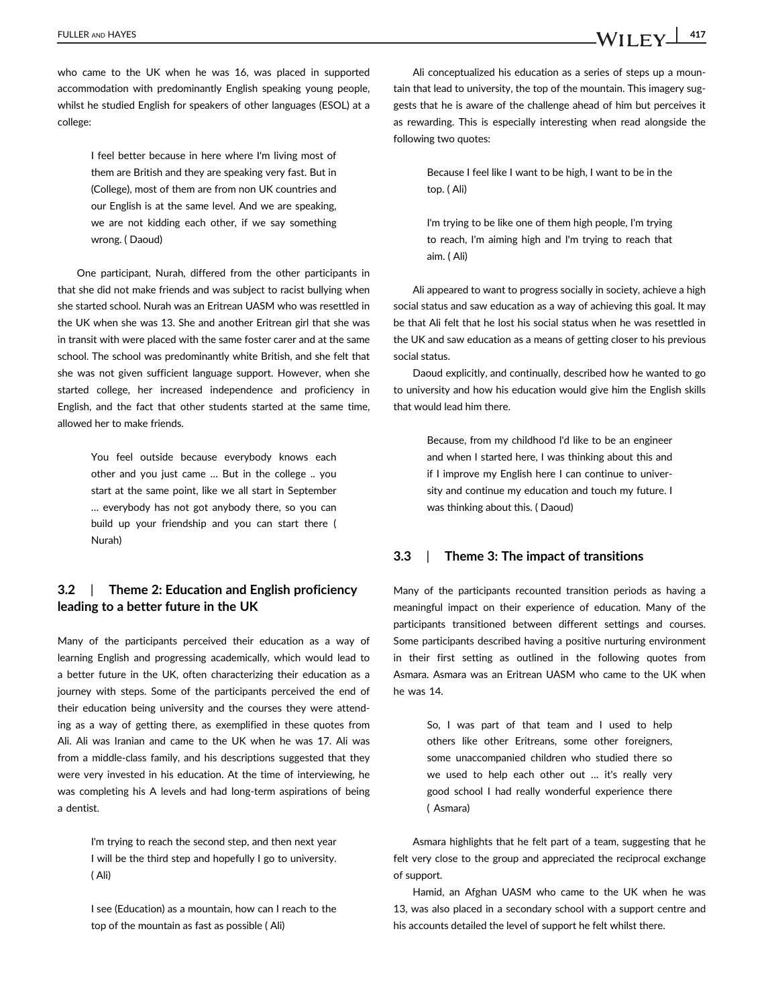who came to the UK when he was 16, was placed in supported accommodation with predominantly English speaking young people, whilst he studied English for speakers of other languages (ESOL) at a college:

> I feel better because in here where I'm living most of them are British and they are speaking very fast. But in (College), most of them are from non UK countries and our English is at the same level. And we are speaking, we are not kidding each other, if we say something wrong. ( Daoud)

One participant, Nurah, differed from the other participants in that she did not make friends and was subject to racist bullying when she started school. Nurah was an Eritrean UASM who was resettled in the UK when she was 13. She and another Eritrean girl that she was in transit with were placed with the same foster carer and at the same school. The school was predominantly white British, and she felt that she was not given sufficient language support. However, when she started college, her increased independence and proficiency in English, and the fact that other students started at the same time, allowed her to make friends.

> You feel outside because everybody knows each other and you just came … But in the college .. you start at the same point, like we all start in September … everybody has not got anybody there, so you can build up your friendship and you can start there ( Nurah)

#### 3.2 | Theme 2: Education and English proficiency leading to a better future in the UK

Many of the participants perceived their education as a way of learning English and progressing academically, which would lead to a better future in the UK, often characterizing their education as a journey with steps. Some of the participants perceived the end of their education being university and the courses they were attending as a way of getting there, as exemplified in these quotes from Ali. Ali was Iranian and came to the UK when he was 17. Ali was from a middle-class family, and his descriptions suggested that they were very invested in his education. At the time of interviewing, he was completing his A levels and had long-term aspirations of being a dentist.

> I'm trying to reach the second step, and then next year I will be the third step and hopefully I go to university. ( Ali)

> I see (Education) as a mountain, how can I reach to the top of the mountain as fast as possible ( Ali)

Ali conceptualized his education as a series of steps up a mountain that lead to university, the top of the mountain. This imagery suggests that he is aware of the challenge ahead of him but perceives it as rewarding. This is especially interesting when read alongside the following two quotes:

> Because I feel like I want to be high, I want to be in the top. ( Ali)

> I'm trying to be like one of them high people, I'm trying to reach, I'm aiming high and I'm trying to reach that aim. ( Ali)

Ali appeared to want to progress socially in society, achieve a high social status and saw education as a way of achieving this goal. It may be that Ali felt that he lost his social status when he was resettled in the UK and saw education as a means of getting closer to his previous social status.

Daoud explicitly, and continually, described how he wanted to go to university and how his education would give him the English skills that would lead him there.

> Because, from my childhood I'd like to be an engineer and when I started here, I was thinking about this and if I improve my English here I can continue to university and continue my education and touch my future. I was thinking about this. ( Daoud)

#### 3.3 | Theme 3: The impact of transitions

Many of the participants recounted transition periods as having a meaningful impact on their experience of education. Many of the participants transitioned between different settings and courses. Some participants described having a positive nurturing environment in their first setting as outlined in the following quotes from Asmara. Asmara was an Eritrean UASM who came to the UK when he was 14.

> So, I was part of that team and I used to help others like other Eritreans, some other foreigners, some unaccompanied children who studied there so we used to help each other out … it's really very good school I had really wonderful experience there ( Asmara)

Asmara highlights that he felt part of a team, suggesting that he felt very close to the group and appreciated the reciprocal exchange of support.

Hamid, an Afghan UASM who came to the UK when he was 13, was also placed in a secondary school with a support centre and his accounts detailed the level of support he felt whilst there.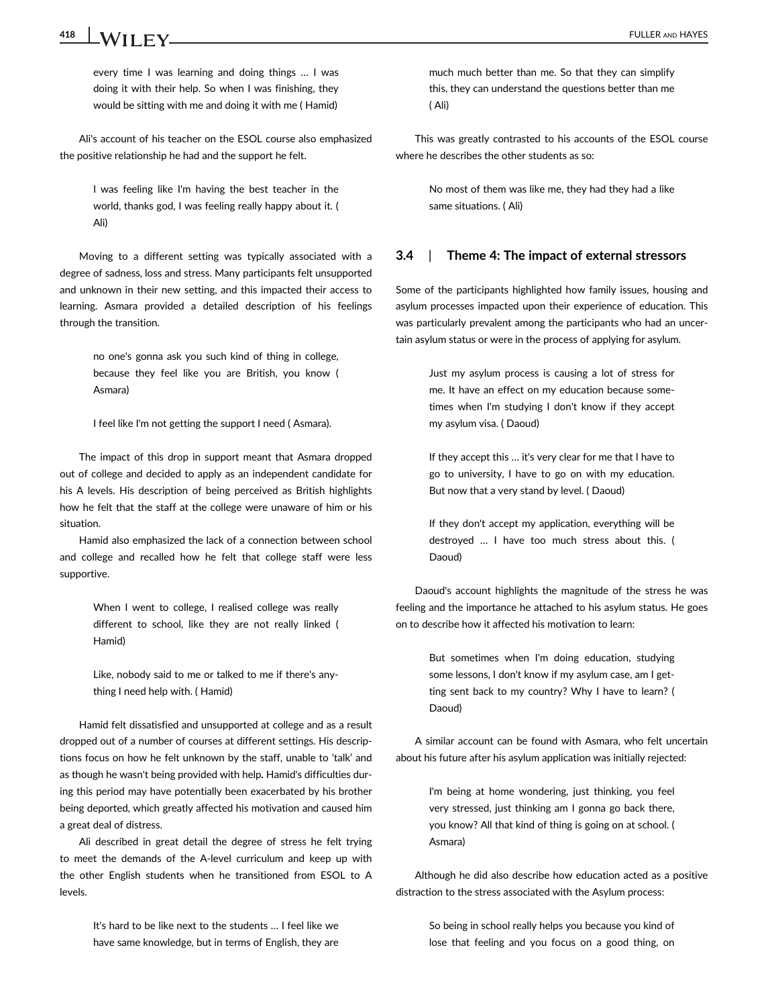# 418 FULLER AND HAYES

every time I was learning and doing things … I was doing it with their help. So when I was finishing, they would be sitting with me and doing it with me ( Hamid)

Ali's account of his teacher on the ESOL course also emphasized the positive relationship he had and the support he felt.

> I was feeling like I'm having the best teacher in the world, thanks god, I was feeling really happy about it. ( Ali)

Moving to a different setting was typically associated with a degree of sadness, loss and stress. Many participants felt unsupported and unknown in their new setting, and this impacted their access to learning. Asmara provided a detailed description of his feelings through the transition.

> no one's gonna ask you such kind of thing in college, because they feel like you are British, you know ( Asmara)

I feel like I'm not getting the support I need ( Asmara).

The impact of this drop in support meant that Asmara dropped out of college and decided to apply as an independent candidate for his A levels. His description of being perceived as British highlights how he felt that the staff at the college were unaware of him or his situation.

Hamid also emphasized the lack of a connection between school and college and recalled how he felt that college staff were less supportive.

> When I went to college, I realised college was really different to school, like they are not really linked ( Hamid)

> Like, nobody said to me or talked to me if there's anything I need help with. ( Hamid)

Hamid felt dissatisfied and unsupported at college and as a result dropped out of a number of courses at different settings. His descriptions focus on how he felt unknown by the staff, unable to 'talk' and as though he wasn't being provided with help. Hamid's difficulties during this period may have potentially been exacerbated by his brother being deported, which greatly affected his motivation and caused him a great deal of distress.

Ali described in great detail the degree of stress he felt trying to meet the demands of the A-level curriculum and keep up with the other English students when he transitioned from ESOL to A levels.

> It's hard to be like next to the students … I feel like we have same knowledge, but in terms of English, they are

much much better than me. So that they can simplify this, they can understand the questions better than me ( Ali)

This was greatly contrasted to his accounts of the ESOL course where he describes the other students as so:

> No most of them was like me, they had they had a like same situations. ( Ali)

#### 3.4 | Theme 4: The impact of external stressors

Some of the participants highlighted how family issues, housing and asylum processes impacted upon their experience of education. This was particularly prevalent among the participants who had an uncertain asylum status or were in the process of applying for asylum.

> Just my asylum process is causing a lot of stress for me. It have an effect on my education because sometimes when I'm studying I don't know if they accept my asylum visa. ( Daoud)

> If they accept this … it's very clear for me that I have to go to university, I have to go on with my education. But now that a very stand by level. ( Daoud)

> If they don't accept my application, everything will be destroyed … I have too much stress about this. ( Daoud)

Daoud's account highlights the magnitude of the stress he was feeling and the importance he attached to his asylum status. He goes on to describe how it affected his motivation to learn:

> But sometimes when I'm doing education, studying some lessons, I don't know if my asylum case, am I getting sent back to my country? Why I have to learn? ( Daoud)

A similar account can be found with Asmara, who felt uncertain about his future after his asylum application was initially rejected:

> I'm being at home wondering, just thinking, you feel very stressed, just thinking am I gonna go back there, you know? All that kind of thing is going on at school. ( Asmara)

Although he did also describe how education acted as a positive distraction to the stress associated with the Asylum process:

> So being in school really helps you because you kind of lose that feeling and you focus on a good thing, on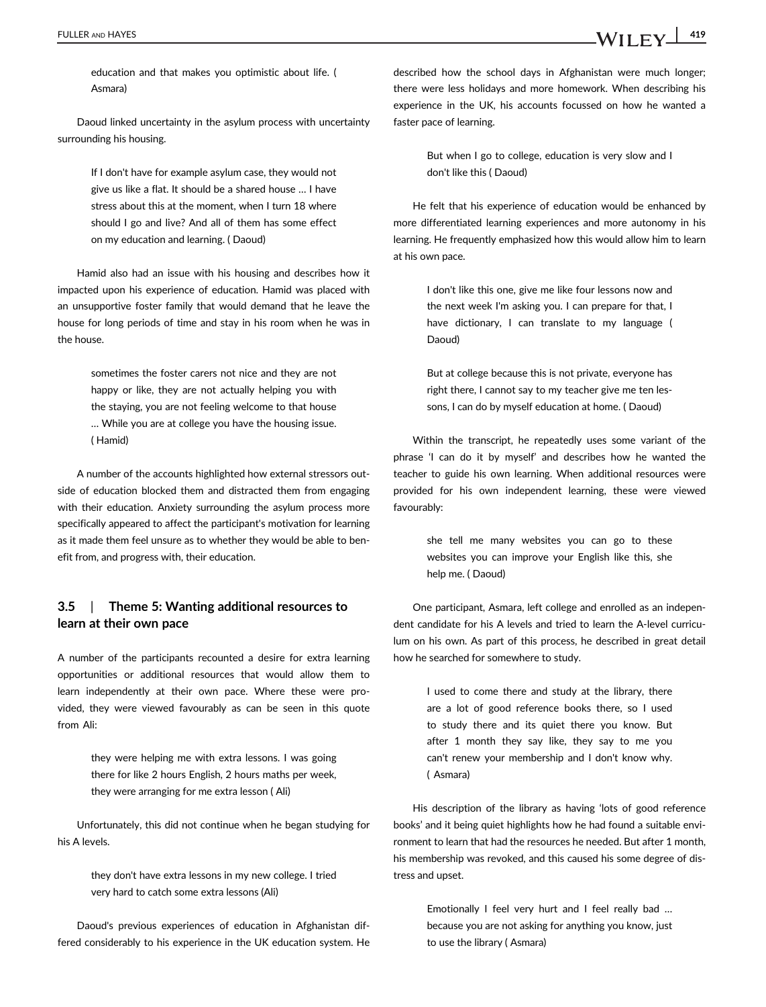education and that makes you optimistic about life. ( Asmara)

Daoud linked uncertainty in the asylum process with uncertainty surrounding his housing.

> If I don't have for example asylum case, they would not give us like a flat. It should be a shared house … I have stress about this at the moment, when I turn 18 where should I go and live? And all of them has some effect on my education and learning. ( Daoud)

Hamid also had an issue with his housing and describes how it impacted upon his experience of education. Hamid was placed with an unsupportive foster family that would demand that he leave the house for long periods of time and stay in his room when he was in the house.

> sometimes the foster carers not nice and they are not happy or like, they are not actually helping you with the staying, you are not feeling welcome to that house … While you are at college you have the housing issue. ( Hamid)

A number of the accounts highlighted how external stressors outside of education blocked them and distracted them from engaging with their education. Anxiety surrounding the asylum process more specifically appeared to affect the participant's motivation for learning as it made them feel unsure as to whether they would be able to benefit from, and progress with, their education.

#### 3.5 | Theme 5: Wanting additional resources to learn at their own pace

A number of the participants recounted a desire for extra learning opportunities or additional resources that would allow them to learn independently at their own pace. Where these were provided, they were viewed favourably as can be seen in this quote from Ali:

> they were helping me with extra lessons. I was going there for like 2 hours English, 2 hours maths per week, they were arranging for me extra lesson ( Ali)

Unfortunately, this did not continue when he began studying for his A levels.

> they don't have extra lessons in my new college. I tried very hard to catch some extra lessons (Ali)

Daoud's previous experiences of education in Afghanistan differed considerably to his experience in the UK education system. He described how the school days in Afghanistan were much longer; there were less holidays and more homework. When describing his experience in the UK, his accounts focussed on how he wanted a faster pace of learning.

> But when I go to college, education is very slow and I don't like this ( Daoud)

He felt that his experience of education would be enhanced by more differentiated learning experiences and more autonomy in his learning. He frequently emphasized how this would allow him to learn at his own pace.

> I don't like this one, give me like four lessons now and the next week I'm asking you. I can prepare for that, I have dictionary, I can translate to my language ( Daoud)

> But at college because this is not private, everyone has right there, I cannot say to my teacher give me ten lessons, I can do by myself education at home. ( Daoud)

Within the transcript, he repeatedly uses some variant of the phrase 'I can do it by myself' and describes how he wanted the teacher to guide his own learning. When additional resources were provided for his own independent learning, these were viewed favourably:

> she tell me many websites you can go to these websites you can improve your English like this, she help me. ( Daoud)

One participant, Asmara, left college and enrolled as an independent candidate for his A levels and tried to learn the A-level curriculum on his own. As part of this process, he described in great detail how he searched for somewhere to study.

> I used to come there and study at the library, there are a lot of good reference books there, so I used to study there and its quiet there you know. But after 1 month they say like, they say to me you can't renew your membership and I don't know why. ( Asmara)

His description of the library as having 'lots of good reference books' and it being quiet highlights how he had found a suitable environment to learn that had the resources he needed. But after 1 month, his membership was revoked, and this caused his some degree of distress and upset.

> Emotionally I feel very hurt and I feel really bad … because you are not asking for anything you know, just to use the library ( Asmara)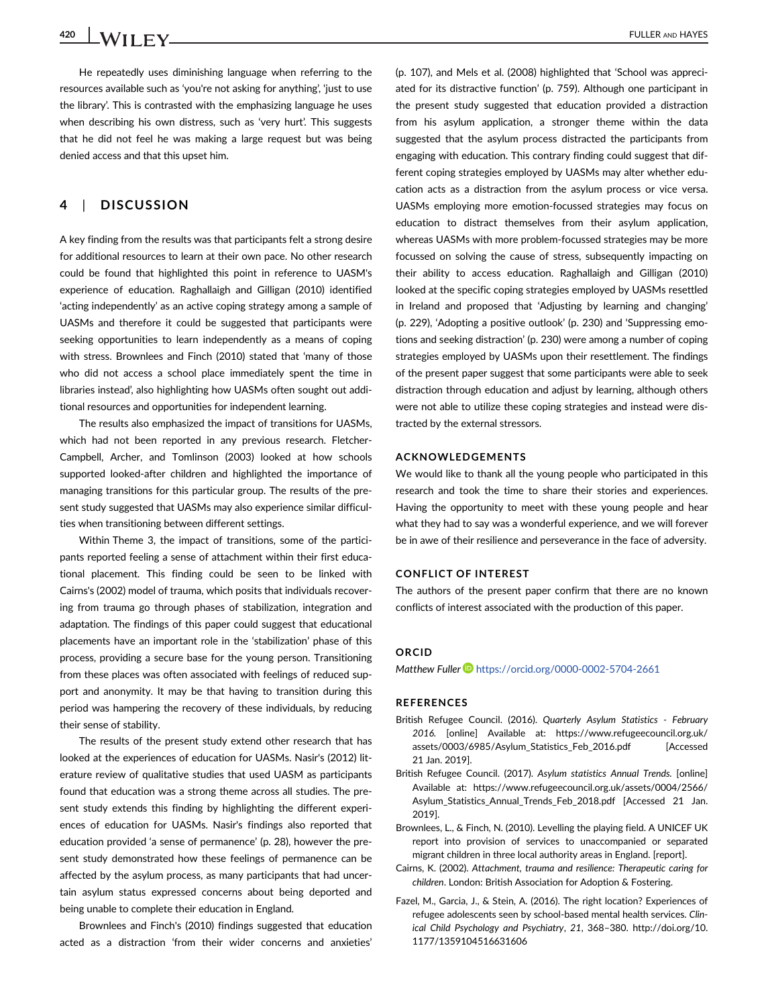He repeatedly uses diminishing language when referring to the resources available such as 'you're not asking for anything', 'just to use the library'. This is contrasted with the emphasizing language he uses when describing his own distress, such as 'very hurt'. This suggests that he did not feel he was making a large request but was being denied access and that this upset him.

#### 4 | DISCUSSION

A key finding from the results was that participants felt a strong desire for additional resources to learn at their own pace. No other research could be found that highlighted this point in reference to UASM's experience of education. Raghallaigh and Gilligan (2010) identified 'acting independently' as an active coping strategy among a sample of UASMs and therefore it could be suggested that participants were seeking opportunities to learn independently as a means of coping with stress. Brownlees and Finch (2010) stated that 'many of those who did not access a school place immediately spent the time in libraries instead', also highlighting how UASMs often sought out additional resources and opportunities for independent learning.

The results also emphasized the impact of transitions for UASMs, which had not been reported in any previous research. Fletcher-Campbell, Archer, and Tomlinson (2003) looked at how schools supported looked-after children and highlighted the importance of managing transitions for this particular group. The results of the present study suggested that UASMs may also experience similar difficulties when transitioning between different settings.

Within Theme 3, the impact of transitions, some of the participants reported feeling a sense of attachment within their first educational placement. This finding could be seen to be linked with Cairns's (2002) model of trauma, which posits that individuals recovering from trauma go through phases of stabilization, integration and adaptation. The findings of this paper could suggest that educational placements have an important role in the 'stabilization' phase of this process, providing a secure base for the young person. Transitioning from these places was often associated with feelings of reduced support and anonymity. It may be that having to transition during this period was hampering the recovery of these individuals, by reducing their sense of stability.

The results of the present study extend other research that has looked at the experiences of education for UASMs. Nasir's (2012) literature review of qualitative studies that used UASM as participants found that education was a strong theme across all studies. The present study extends this finding by highlighting the different experiences of education for UASMs. Nasir's findings also reported that education provided 'a sense of permanence' (p. 28), however the present study demonstrated how these feelings of permanence can be affected by the asylum process, as many participants that had uncertain asylum status expressed concerns about being deported and being unable to complete their education in England.

Brownlees and Finch's (2010) findings suggested that education acted as a distraction 'from their wider concerns and anxieties'

(p. 107), and Mels et al. (2008) highlighted that 'School was appreciated for its distractive function' (p. 759). Although one participant in the present study suggested that education provided a distraction from his asylum application, a stronger theme within the data suggested that the asylum process distracted the participants from engaging with education. This contrary finding could suggest that different coping strategies employed by UASMs may alter whether education acts as a distraction from the asylum process or vice versa. UASMs employing more emotion-focussed strategies may focus on education to distract themselves from their asylum application, whereas UASMs with more problem-focussed strategies may be more focussed on solving the cause of stress, subsequently impacting on their ability to access education. Raghallaigh and Gilligan (2010) looked at the specific coping strategies employed by UASMs resettled in Ireland and proposed that 'Adjusting by learning and changing' (p. 229), 'Adopting a positive outlook' (p. 230) and 'Suppressing emotions and seeking distraction' (p. 230) were among a number of coping strategies employed by UASMs upon their resettlement. The findings of the present paper suggest that some participants were able to seek distraction through education and adjust by learning, although others were not able to utilize these coping strategies and instead were distracted by the external stressors.

#### ACKNOWLEDGEMENTS

We would like to thank all the young people who participated in this research and took the time to share their stories and experiences. Having the opportunity to meet with these young people and hear what they had to say was a wonderful experience, and we will forever be in awe of their resilience and perseverance in the face of adversity.

#### CONFLICT OF INTEREST

The authors of the present paper confirm that there are no known conflicts of interest associated with the production of this paper.

#### ORCID

Matthew Fuller D <https://orcid.org/0000-0002-5704-2661>

#### REFERENCES

- British Refugee Council. (2016). Quarterly Asylum Statistics February 2016. [online] Available at: [https://www.refugeecouncil.org.uk/](https://www.refugeecouncil.org.uk/assets/0003/6985/Asylum_Statistics_Feb_2016.pdf) [assets/0003/6985/Asylum\\_Statistics\\_Feb\\_2016.pdf](https://www.refugeecouncil.org.uk/assets/0003/6985/Asylum_Statistics_Feb_2016.pdf) [Accessed 21 Jan. 2019].
- British Refugee Council. (2017). Asylum statistics Annual Trends. [online] Available at: [https://www.refugeecouncil.org.uk/assets/0004/2566/](https://www.refugeecouncil.org.uk/assets/0004/2566/Asylum_Statistics_Annual_Trends_Feb_2018.pdf) [Asylum\\_Statistics\\_Annual\\_Trends\\_Feb\\_2018.pdf](https://www.refugeecouncil.org.uk/assets/0004/2566/Asylum_Statistics_Annual_Trends_Feb_2018.pdf) [Accessed 21 Jan. 2019].
- Brownlees, L., & Finch, N. (2010). Levelling the playing field. A UNICEF UK report into provision of services to unaccompanied or separated migrant children in three local authority areas in England. [report].
- Cairns, K. (2002). Attachment, trauma and resilience: Therapeutic caring for children. London: British Association for Adoption & Fostering.
- Fazel, M., Garcia, J., & Stein, A. (2016). The right location? Experiences of refugee adolescents seen by school-based mental health services. Clinical Child Psychology and Psychiatry, 21, 368–380. [http://doi.org/10.](http://doi.org/10.1177/1359104516631606) [1177/1359104516631606](http://doi.org/10.1177/1359104516631606)